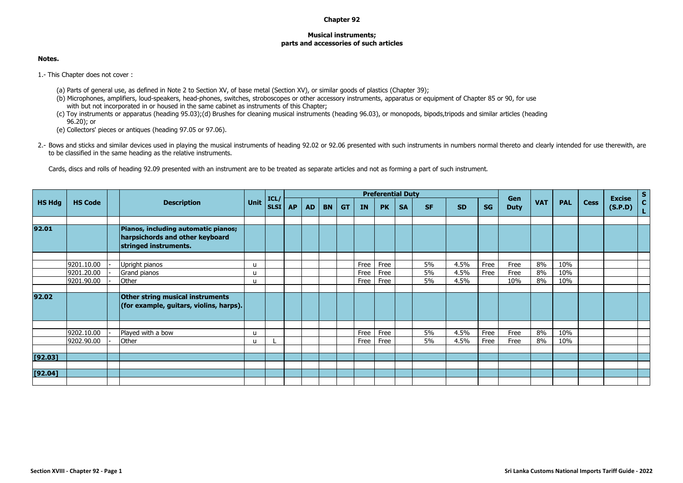## **Chapter 92**

## **Musical instruments; parts and accessories of such articles**

## **Notes.**

1.- This Chapter does not cover :

- (a) Parts of general use, as defined in Note 2 to Section XV, of base metal (Section XV), or similar goods of plastics (Chapter 39);
- (b) Microphones, amplifiers, loud-speakers, head-phones, switches, stroboscopes or other accessory instruments, apparatus or equipment of Chapter 85 or 90, for use with but not incorporated in or housed in the same cabinet as instruments of this Chapter;
- (c) Toy instruments or apparatus (heading 95.03);(d) Brushes for cleaning musical instruments (heading 96.03), or monopods, bipods,tripods and similar articles (heading 96.20); or
- (e) Collectors' pieces or antiques (heading 97.05 or 97.06).
- 2.- Bows and sticks and similar devices used in playing the musical instruments of heading 92.02 or 92.06 presented with such instruments in numbers normal thereto and clearly intended for use therewith, are to be classified in the same heading as the relative instruments.

Cards, discs and rolls of heading 92.09 presented with an instrument are to be treated as separate articles and not as forming a part of such instrument.

| <b>HS Code</b> |                                                      | <b>Description</b>                                                          |                                                      |             |           |           |           |           |                      |                      |           |                |                                |              |                     |                |                   |             |         | $rac{s}{c}$   |
|----------------|------------------------------------------------------|-----------------------------------------------------------------------------|------------------------------------------------------|-------------|-----------|-----------|-----------|-----------|----------------------|----------------------|-----------|----------------|--------------------------------|--------------|---------------------|----------------|-------------------|-------------|---------|---------------|
|                |                                                      |                                                                             | Unit                                                 | <b>SLSI</b> | <b>AP</b> | <b>AD</b> | <b>BN</b> | <b>GT</b> | <b>IN</b>            | <b>PK</b>            | <b>SA</b> | <b>SF</b>      | <b>SD</b>                      | <b>SG</b>    | <b>Duty</b>         | <b>VAT</b>     | <b>PAL</b>        | <b>Cess</b> | (S.P.D) | $\mathbf{L}$  |
|                |                                                      | Pianos, including automatic pianos;<br>stringed instruments.                |                                                      |             |           |           |           |           |                      |                      |           |                |                                |              |                     |                |                   |             |         |               |
| 9201.20.00     |                                                      | Upright pianos<br>Grand pianos<br>Other                                     | u<br>u<br>u                                          |             |           |           |           |           | Free<br>Free<br>Free | Free<br>Free<br>Free |           | 5%<br>5%<br>5% | 4.5%<br>4.5%<br>4.5%           | Free<br>Free | Free<br>Free<br>10% | 8%<br>8%<br>8% | 10%<br>10%<br>10% |             |         |               |
|                |                                                      | Other string musical instruments<br>(for example, guitars, violins, harps). |                                                      |             |           |           |           |           |                      |                      |           |                |                                |              |                     |                |                   |             |         |               |
|                |                                                      |                                                                             |                                                      |             |           |           |           |           |                      |                      |           |                |                                |              |                     |                |                   |             |         |               |
|                |                                                      | Other                                                                       | u                                                    |             |           |           |           |           | Free                 | Free                 |           | 5%             | 4.5%                           | Free         | Free                | 8%             | 10%               |             |         |               |
|                |                                                      |                                                                             |                                                      |             |           |           |           |           |                      |                      |           |                |                                |              |                     |                |                   |             |         |               |
|                |                                                      |                                                                             |                                                      |             |           |           |           |           |                      |                      |           |                |                                |              |                     |                |                   |             |         |               |
|                | 9201.10.00<br>9201.90.00<br>9202.10.00<br>9202.90.00 |                                                                             | harpsichords and other keyboard<br>Played with a bow | u           | ICL/      |           |           |           |                      | Free                 | Free      |                | <b>Preferential Duty</b><br>5% | 4.5%         | Free                | Gen<br>Free    | 8%                | 10%         |         | <b>Excise</b> |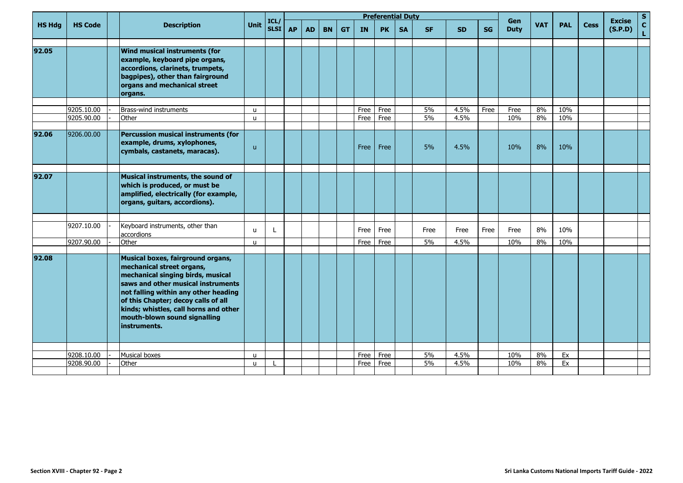| <b>HS Hdg</b> |                |  | <b>Description</b>                                                                                                                                                                                                                                                                                                |              |                           |           |           |           |           |           | <b>Preferential Duty</b> |           |           |           |           |                    |            |            |             | <b>Excise</b><br>(S.P.D) | S                  |
|---------------|----------------|--|-------------------------------------------------------------------------------------------------------------------------------------------------------------------------------------------------------------------------------------------------------------------------------------------------------------------|--------------|---------------------------|-----------|-----------|-----------|-----------|-----------|--------------------------|-----------|-----------|-----------|-----------|--------------------|------------|------------|-------------|--------------------------|--------------------|
|               | <b>HS Code</b> |  |                                                                                                                                                                                                                                                                                                                   | Unit         | ICL/<br>SLSI <sup>I</sup> | <b>AP</b> | <b>AD</b> | <b>BN</b> | <b>GT</b> | <b>IN</b> | <b>PK</b>                | <b>SA</b> | <b>SF</b> | <b>SD</b> | <b>SG</b> | Gen<br><b>Duty</b> | <b>VAT</b> | <b>PAL</b> | <b>Cess</b> |                          | $\mathbf{C}$<br>L. |
| 92.05         |                |  | <b>Wind musical instruments (for</b><br>example, keyboard pipe organs,<br>accordions, clarinets, trumpets,<br>bagpipes), other than fairground<br>organs and mechanical street<br>organs.                                                                                                                         |              |                           |           |           |           |           |           |                          |           |           |           |           |                    |            |            |             |                          |                    |
|               |                |  |                                                                                                                                                                                                                                                                                                                   |              |                           |           |           |           |           |           |                          |           |           |           |           |                    |            |            |             |                          |                    |
|               | 9205.10.00     |  | Brass-wind instruments                                                                                                                                                                                                                                                                                            | $\mathsf{u}$ |                           |           |           |           |           | Free      | Free                     |           | 5%        | 4.5%      | Free      | Free               | 8%         | 10%        |             |                          |                    |
|               | 9205.90.00     |  | Other                                                                                                                                                                                                                                                                                                             | $\mathsf{u}$ |                           |           |           |           |           | Free      | Free                     |           | 5%        | 4.5%      |           | 10%                | 8%         | 10%        |             |                          |                    |
| 92.06         | 9206.00.00     |  | <b>Percussion musical instruments (for</b><br>example, drums, xylophones,<br>cymbals, castanets, maracas).                                                                                                                                                                                                        | u.           |                           |           |           |           |           | Free      | Free                     |           | 5%        | 4.5%      |           | 10%                | 8%         | 10%        |             |                          |                    |
|               |                |  |                                                                                                                                                                                                                                                                                                                   |              |                           |           |           |           |           |           |                          |           |           |           |           |                    |            |            |             |                          |                    |
| 92.07         |                |  | Musical instruments, the sound of<br>which is produced, or must be<br>amplified, electrically (for example,<br>organs, guitars, accordions).                                                                                                                                                                      |              |                           |           |           |           |           |           |                          |           |           |           |           |                    |            |            |             |                          |                    |
|               |                |  |                                                                                                                                                                                                                                                                                                                   |              |                           |           |           |           |           |           |                          |           |           |           |           |                    |            |            |             |                          |                    |
|               | 9207.10.00     |  | Keyboard instruments, other than<br>accordions                                                                                                                                                                                                                                                                    | u            | Ł                         |           |           |           |           | Free      | Free                     |           | Free      | Free      | Free      | Free               | 8%         | 10%        |             |                          |                    |
|               | 9207.90.00     |  | Other                                                                                                                                                                                                                                                                                                             | u            |                           |           |           |           |           | Free      | Free                     |           | 5%        | 4.5%      |           | 10%                | 8%         | 10%        |             |                          |                    |
| 92.08         |                |  | Musical boxes, fairground organs,<br>mechanical street organs,<br>mechanical singing birds, musical<br>saws and other musical instruments<br>not falling within any other heading<br>of this Chapter; decoy calls of all<br>kinds; whistles, call horns and other<br>mouth-blown sound signalling<br>instruments. |              |                           |           |           |           |           |           |                          |           |           |           |           |                    |            |            |             |                          |                    |
|               |                |  |                                                                                                                                                                                                                                                                                                                   |              |                           |           |           |           |           |           |                          |           |           |           |           |                    |            |            |             |                          |                    |
|               | 9208.10.00     |  | <b>Musical boxes</b>                                                                                                                                                                                                                                                                                              | u            |                           |           |           |           |           | Free      | Free                     |           | 5%        | 4.5%      |           | 10%                | 8%         | Ex         |             |                          |                    |
|               | 9208.90.00     |  | Other                                                                                                                                                                                                                                                                                                             | u.           |                           |           |           |           |           | Free      | Free                     |           | 5%        | 4.5%      |           | 10%                | 8%         | Ex         |             |                          |                    |
|               |                |  |                                                                                                                                                                                                                                                                                                                   |              |                           |           |           |           |           |           |                          |           |           |           |           |                    |            |            |             |                          |                    |